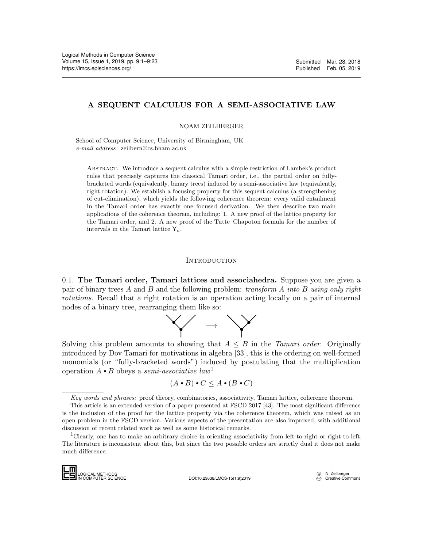### A SEQUENT CALCULUS FOR A SEMI-ASSOCIATIVE LAW

NOAM ZEILBERGER

School of Computer Science, University of Birmingham, UK e-mail address: zeilbern@cs.bham.ac.uk

Abstract. We introduce a sequent calculus with a simple restriction of Lambek's product rules that precisely captures the classical Tamari order, i.e., the partial order on fullybracketed words (equivalently, binary trees) induced by a semi-associative law (equivalently, right rotation). We establish a focusing property for this sequent calculus (a strengthening of cut-elimination), which yields the following coherence theorem: every valid entailment in the Tamari order has exactly one focused derivation. We then describe two main applications of the coherence theorem, including: 1. A new proof of the lattice property for the Tamari order, and 2. A new proof of the Tutte–Chapoton formula for the number of intervals in the Tamari lattice  $Y_n$ .

#### **INTRODUCTION**

 $0.1.$  The Tamari order, Tamari lattices and associahedra. Suppose you are given a pair of binary trees A and B and the following problem: transform A into B using only right rotations. Recall that a right rotation is an operation acting locally on a pair of internal nodes of a binary tree, rearranging them like so:



Solving this problem amounts to showing that  $A \leq B$  in the Tamari order. Originally introduced by Dov Tamari for motivations in algebra [\[33\]](#page-20-0), this is the ordering on well-formed monomials (or "fully-bracketed words") induced by postulating that the multiplication operation  $A \cdot B$  obeys a semi-associative law<sup>[1](#page-0-0)</sup>

$$
(A \bullet B) \bullet C \leq A \bullet (B \bullet C)
$$

<span id="page-0-0"></span><sup>1</sup>Clearly, one has to make an arbitrary choice in orienting associativity from left-to-right or right-to-left. The literature is inconsistent about this, but since the two possible orders are strictly dual it does not make much difference.



Key words and phrases: proof theory, combinatorics, associativity, Tamari lattice, coherence theorem.

This article is an extended version of a paper presented at FSCD 2017 [\[43\]](#page-20-1). The most significant difference is the inclusion of the proof for the lattice property via the coherence theorem, which was raised as an open problem in the FSCD version. Various aspects of the presentation are also improved, with additional discussion of recent related work as well as some historical remarks. *Key words and p*<br>This article is an<br>is the inclusion of t<br>open problem in the<br>discussion of recent<br> $^{1}$ Clearly, one has<br>The literature is inc<br>much difference.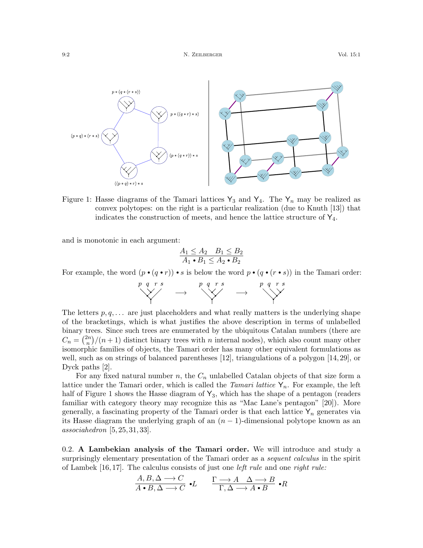

<span id="page-1-0"></span>Figure 1: Hasse diagrams of the Tamari lattices  $Y_3$  and  $Y_4$ . The  $Y_n$  may be realized as convex polytopes: on the right is a particular realization (due to Knuth [\[13\]](#page-19-0)) that indicates the construction of meets, and hence the lattice structure of  $Y_4$ .

and is monotonic in each argument:

$$
\frac{A_1 \le A_2 \quad B_1 \le B_2}{A_1 \bullet B_1 \le A_2 \bullet B_2}
$$

For example, the word  $(p \cdot (q \cdot r)) \cdot s$  is below the word  $p \cdot (q \cdot (r \cdot s))$  in the Tamari order:

−→ −→

The letters  $p, q, \ldots$  are just placeholders and what really matters is the underlying shape of the bracketings, which is what justifies the above description in terms of unlabelled binary trees. Since such trees are enumerated by the ubiquitous Catalan numbers (there are  $C_n = \binom{2n}{n}$  $\binom{2n}{n}$  /(n + 1) distinct binary trees with n internal nodes), which also count many other isomorphic families of objects, the Tamari order has many other equivalent formulations as well, such as on strings of balanced parentheses [\[12\]](#page-19-1), triangulations of a polygon [\[14,](#page-19-2) [29\]](#page-20-2), or Dyck paths [\[2\]](#page-19-3).

For any fixed natural number n, the  $C_n$  unlabelled Catalan objects of that size form a lattice under the Tamari order, which is called the Tamari lattice  $Y_n$ . For example, the left half of Figure [1](#page-1-0) shows the Hasse diagram of  $Y_3$ , which has the shape of a pentagon (readers familiar with category theory may recognize this as "Mac Lane's pentagon" [\[20\]](#page-20-3)). More generally, a fascinating property of the Tamari order is that each lattice  $Y_n$  generates via its Hasse diagram the underlying graph of an  $(n-1)$ -dimensional polytope known as an  $associatedron [5, 25, 31, 33].$  $associatedron [5, 25, 31, 33].$  $associatedron [5, 25, 31, 33].$  $associatedron [5, 25, 31, 33].$  $associatedron [5, 25, 31, 33].$  $associatedron [5, 25, 31, 33].$ 

<span id="page-1-1"></span>0.2. A Lambekian analysis of the Tamari order. We will introduce and study a surprisingly elementary presentation of the Tamari order as a *sequent calculus* in the spirit of Lambek  $[16, 17]$  $[16, 17]$ . The calculus consists of just one *left rule* and one *right rule:* 

$$
\frac{A, B, \Delta \longrightarrow C}{A \bullet B, \Delta \longrightarrow C} \bullet L \qquad \frac{\Gamma \longrightarrow A \quad \Delta \longrightarrow B}{\Gamma, \Delta \longrightarrow A \bullet B} \bullet R
$$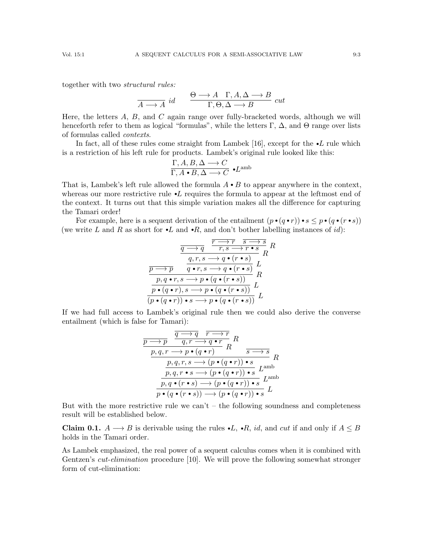together with two structural rules:

$$
\frac{\Theta \longrightarrow A \quad \Gamma, A, \Delta \longrightarrow B}{\Gamma, \Theta, \Delta \longrightarrow B} cut
$$

Here, the letters  $A, B$ , and  $C$  again range over fully-bracketed words, although we will henceforth refer to them as logical "formulas", while the letters Γ,  $\Delta$ , and Θ range over lists of formulas called contexts.

In fact, all of these rules come straight from Lambek [\[16\]](#page-20-6), except for the  $\bullet L$  rule which is a restriction of his left rule for products. Lambek's original rule looked like this:

$$
\dfrac{\Gamma, A, B, \Delta \longrightarrow C}{\Gamma, A \bullet B, \Delta \longrightarrow C} \bullet L^{\text{amb}}
$$

That is, Lambek's left rule allowed the formula  $A \cdot B$  to appear anywhere in the context, whereas our more restrictive rule  $\cdot L$  requires the formula to appear at the leftmost end of the context. It turns out that this simple variation makes all the difference for capturing the Tamari order!

For example, here is a sequent derivation of the entailment  $(p \cdot (q \cdot r)) \cdot s \leq p \cdot (q \cdot (r \cdot s))$ (we write L and R as short for  $\bullet L$  and  $\bullet R$ , and don't bother labelling instances of id):

$$
\frac{\overbrace{q \to q} \quad \overbrace{r,s \to r \bullet s}^{r \to r} R}{q,r,s \to q \bullet (r \bullet s)} R
$$
\n
$$
\frac{\overbrace{p \to p} \quad q \bullet r, s \to q \bullet (r \bullet s)}{q \bullet r, s \to q \bullet (r \bullet s)} L
$$
\n
$$
\frac{p,q \bullet r, s \to p \bullet (q \bullet (r \bullet s))}{p \bullet (q \bullet r), s \to p \bullet (q \bullet (r \bullet s))} L
$$
\n
$$
\frac{(p \bullet (q \bullet r)) \bullet s \to p \bullet (q \bullet (r \bullet s))}{p \bullet (q \bullet r) \bullet s \to p \bullet (q \bullet (r \bullet s))} L
$$

If we had full access to Lambek's original rule then we could also derive the converse entailment (which is false for Tamari):

$$
\frac{\overbrace{p \rightarrow p} \quad \overbrace{q, r \rightarrow q \cdot r}^{q \rightarrow q} R}{\underbrace{p, q, r \rightarrow p \cdot (q \cdot r)}_{p, q, r, s \rightarrow (p \cdot (q \cdot r)) \cdot s} R} R
$$
\n
$$
\frac{\overbrace{p, q, r, s \rightarrow (p \cdot (q \cdot r)) \cdot s}^{p, q, r, s \rightarrow (p \cdot (q \cdot r)) \cdot s} L^{\text{amb}}}{\underbrace{p, q \cdot (r \cdot s) \rightarrow (p \cdot (q \cdot r)) \cdot s}_{p \cdot (q \cdot (r \cdot s)) \rightarrow (p \cdot (q \cdot r)) \cdot s} L^{\text{amb}}}
$$

But with the more restrictive rule we can't – the following soundness and completeness result will be established below.

<span id="page-2-0"></span>**Claim 0.1.**  $A \rightarrow B$  is derivable using the rules  $\bullet L$ ,  $\bullet R$ , *id*, and *cut* if and only if  $A \leq B$ holds in the Tamari order.

As Lambek emphasized, the real power of a sequent calculus comes when it is combined with Gentzen's *cut-elimination* procedure [\[10\]](#page-19-5). We will prove the following somewhat stronger form of cut-elimination: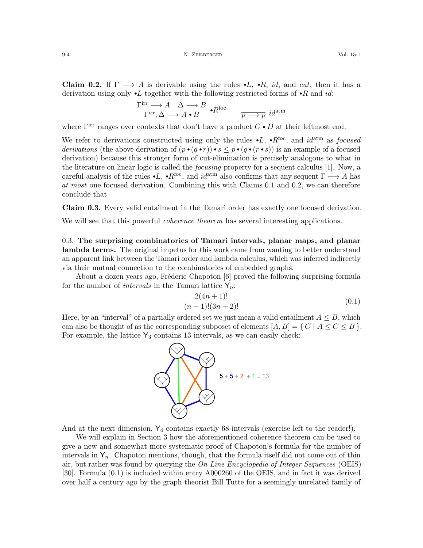<span id="page-3-0"></span>**Claim 0.2.** If  $\Gamma \longrightarrow A$  is derivable using the rules  $\cdot L$ ,  $\cdot R$ , *id*, and *cut*, then it has a derivation using only  $\bullet L$  together with the following restricted forms of  $\bullet R$  and id:

$$
\frac{\Gamma^{\mathrm{irr}}\longrightarrow A\quad \Delta\longrightarrow B}{\Gamma^{\mathrm{irr}},\Delta\longrightarrow A\bullet B}\; \raisebox{.3cm}{\textbf{--}}\; R^{\mathrm{foc}}\qquad \quad \overline{p\longrightarrow p}\; \operatorname{id}^{\mathrm{atm}}
$$

where  $\Gamma^{\text{irr}}$  ranges over contexts that don't have a product  $C \cdot D$  at their leftmost end.

We refer to derivations constructed using only the rules  $\bullet L$ ,  $\bullet R^{foc}$ , and  $id^{atm}$  as *focused* derivations (the above derivation of  $(p \cdot (q \cdot r)) \cdot s \leq p \cdot (q \cdot (r \cdot s))$  is an example of a focused derivation) because this stronger form of cut-elimination is precisely analogous to what in the literature on linear logic is called the focusing property for a sequent calculus [\[1\]](#page-19-6). Now, a careful analysis of the rules  $\cdot L$ ,  $\cdot R^{foc}$ , and  $id^{atm}$  also confirms that any sequent  $\Gamma \longrightarrow A$  has at most one focused derivation. Combining this with Claims [0.1](#page-2-0) and [0.2,](#page-3-0) we can therefore conclude that

Claim 0.3. Every valid entailment in the Tamari order has exactly one focused derivation.

We will see that this powerful *coherence theorem* has several interesting applications.

<span id="page-3-2"></span>0.3. The surprising combinatorics of Tamari intervals, planar maps, and planar lambda terms. The original impetus for this work came from wanting to better understand an apparent link between the Tamari order and lambda calculus, which was inferred indirectly via their mutual connection to the combinatorics of embedded graphs.

About a dozen years ago, Fréderic Chapoton [\[6\]](#page-19-7) proved the following surprising formula for the number of *intervals* in the Tamari lattice  $Y_n$ :

<span id="page-3-1"></span>
$$
\frac{2(4n+1)!}{(n+1)!(3n+2)!}
$$
\n(0.1)

Here, by an "interval" of a partially ordered set we just mean a valid entailment  $A \leq B$ , which can also be thought of as the corresponding subposet of elements  $[A, B] = \{ C | A \le C \le B \}.$ For example, the lattice  $Y_3$  contains 13 intervals, as we can easily check:



And at the next dimension,  $Y_4$  contains exactly 68 intervals (exercise left to the reader!).

We will explain in Section [3](#page-17-0) how the aforementioned coherence theorem can be used to give a new and somewhat more systematic proof of Chapoton's formula for the number of intervals in  $Y_n$ . Chapoton mentions, though, that the formula itself did not come out of thin air, but rather was found by querying the On-Line Encyclopedia of Integer Sequences (OEIS) [\[30\]](#page-20-8). Formula [\(0.1\)](#page-3-1) is included within entry [A000260](https://oeis.org/A000260) of the OEIS, and in fact it was derived over half a century ago by the graph theorist Bill Tutte for a seemingly unrelated family of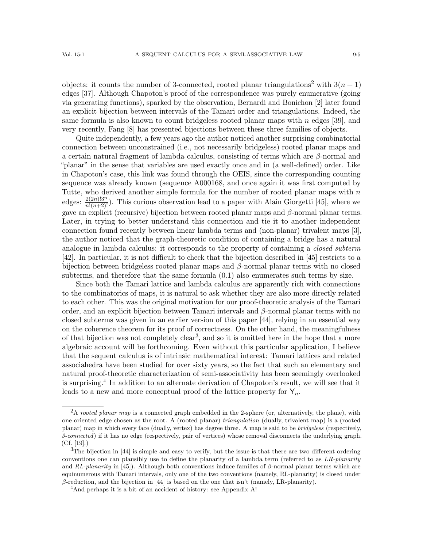objects: it counts the number of 3-connected, rooted planar triangulations<sup>[2](#page-4-0)</sup> with  $3(n+1)$ edges [\[37\]](#page-20-9). Although Chapoton's proof of the correspondence was purely enumerative (going via generating functions), sparked by the observation, Bernardi and Bonichon [\[2\]](#page-19-3) later found an explicit bijection between intervals of the Tamari order and triangulations. Indeed, the same formula is also known to count bridgeless rooted planar maps with  $n$  edges [\[39\]](#page-20-10), and very recently, Fang [\[8\]](#page-19-8) has presented bijections between these three families of objects.

Quite independently, a few years ago the author noticed another surprising combinatorial connection between unconstrained (i.e., not necessarily bridgeless) rooted planar maps and a certain natural fragment of lambda calculus, consisting of terms which are  $\beta$ -normal and "planar" in the sense that variables are used exactly once and in (a well-defined) order. Like in Chapoton's case, this link was found through the OEIS, since the corresponding counting sequence was already known (sequence [A000168,](https://oeis.org/A000168) and once again it was first computed by Tutte, who derived another simple formula for the number of rooted planar maps with  $n$ edges:  $\frac{2(2n)!3^n}{n!(n+2)!}$ ). This curious observation lead to a paper with Alain Giorgetti [\[45\]](#page-21-0), where we gave an explicit (recursive) bijection between rooted planar maps and  $\beta$ -normal planar terms. Later, in trying to better understand this connection and tie it to another independent connection found recently between linear lambda terms and (non-planar) trivalent maps [\[3\]](#page-19-9), the author noticed that the graph-theoretic condition of containing a bridge has a natural analogue in lambda calculus: it corresponds to the property of containing a *closed subterm* [\[42\]](#page-20-11). In particular, it is not difficult to check that the bijection described in [\[45\]](#page-21-0) restricts to a bijection between bridgeless rooted planar maps and  $\beta$ -normal planar terms with no closed subterms, and therefore that the same formula [\(0.1\)](#page-3-1) also enumerates such terms by size.

Since both the Tamari lattice and lambda calculus are apparently rich with connections to the combinatorics of maps, it is natural to ask whether they are also more directly related to each other. This was the original motivation for our proof-theoretic analysis of the Tamari order, and an explicit bijection between Tamari intervals and  $\beta$ -normal planar terms with no closed subterms was given in an earlier version of this paper [\[44\]](#page-21-1), relying in an essential way on the coherence theorem for its proof of correctness. On the other hand, the meaningfulness of that bijection was not completely  $clear^3$  $clear^3$ , and so it is omitted here in the hope that a more algebraic account will be forthcoming. Even without this particular application, I believe that the sequent calculus is of intrinsic mathematical interest: Tamari lattices and related associahedra have been studied for over sixty years, so the fact that such an elementary and natural proof-theoretic characterization of semi-associativity has been seemingly overlooked is surprising.[4](#page-4-2) In addition to an alternate derivation of Chapoton's result, we will see that it leads to a new and more conceptual proof of the lattice property for  $Y_n$ .

<span id="page-4-0"></span> $2A$  *rooted planar map* is a connected graph embedded in the 2-sphere (or, alternatively, the plane), with one oriented edge chosen as the root. A (rooted planar) triangulation (dually, trivalent map) is a (rooted planar) map in which every face (dually, vertex) has degree three. A map is said to be bridgeless (respectively, 3-connected) if it has no edge (respectively, pair of vertices) whose removal disconnects the underlying graph. (Cf. [\[19\]](#page-20-12).)

<span id="page-4-1"></span> $3$ The bijection in [\[44\]](#page-21-1) is simple and easy to verify, but the issue is that there are two different ordering conventions one can plausibly use to define the planarity of a lambda term (referred to as  $LR$ -planarity and RL-planarity in [\[45\]](#page-21-0)). Although both conventions induce families of  $\beta$ -normal planar terms which are equinumerous with Tamari intervals, only one of the two conventions (namely, RL-planarity) is closed under  $β$ -reduction, and the bijection in [\[44\]](#page-21-1) is based on the one that isn't (namely, LR-planarity).

<span id="page-4-2"></span><sup>&</sup>lt;sup>4</sup>And perhaps it is a bit of an accident of history: see Appendix [A!](#page-22-1)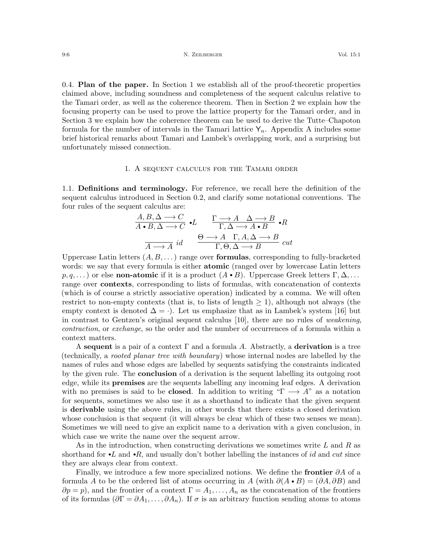0.4. Plan of the paper. In Section [1](#page-5-0) we establish all of the proof-theoretic properties claimed above, including soundness and completeness of the sequent calculus relative to the Tamari order, as well as the coherence theorem. Then in Section [2](#page-13-0) we explain how the focusing property can be used to prove the lattice property for the Tamari order, and in Section [3](#page-17-0) we explain how the coherence theorem can be used to derive the Tutte–Chapoton formula for the number of intervals in the Tamari lattice  $Y_n$ . [A](#page-22-1)ppendix A includes some brief historical remarks about Tamari and Lambek's overlapping work, and a surprising but unfortunately missed connection.

### 1. A sequent calculus for the Tamari order

<span id="page-5-0"></span>1.1. Definitions and terminology. For reference, we recall here the definition of the sequent calculus introduced in Section [0.2,](#page-1-1) and clarify some notational conventions. The four rules of the sequent calculus are:

$$
\frac{A, B, \Delta \longrightarrow C}{A \bullet B, \Delta \longrightarrow C} \bullet L \qquad \frac{\Gamma \longrightarrow A \quad \Delta \longrightarrow B}{\Gamma, \Delta \longrightarrow A \bullet B} \bullet R
$$
\n
$$
\frac{\Theta \longrightarrow A \quad \Gamma, A, \Delta \longrightarrow B}{\Gamma, \Theta, \Delta \longrightarrow B} cut
$$

Uppercase Latin letters  $(A, B, \dots)$  range over **formulas**, corresponding to fully-bracketed words: we say that every formula is either **atomic** (ranged over by lowercase Latin letters  $p, q, \ldots$ ) or else non-atomic if it is a product  $(A \cdot B)$ . Uppercase Greek letters  $\Gamma, \Delta, \ldots$ range over **contexts**, corresponding to lists of formulas, with concatenation of contexts (which is of course a strictly associative operation) indicated by a comma. We will often restrict to non-empty contexts (that is, to lists of length  $\geq 1$ ), although not always (the empty context is denoted  $\Delta = \cdot$ ). Let us emphasize that as in Lambek's system [\[16\]](#page-20-6) but in contrast to Gentzen's original sequent calculus [\[10\]](#page-19-5), there are no rules of weakening, contraction, or exchange, so the order and the number of occurrences of a formula within a context matters.

A sequent is a pair of a context  $\Gamma$  and a formula A. Abstractly, a **derivation** is a tree (technically, a rooted planar tree with boundary) whose internal nodes are labelled by the names of rules and whose edges are labelled by sequents satisfying the constraints indicated by the given rule. The **conclusion** of a derivation is the sequent labelling its outgoing root edge, while its premises are the sequents labelling any incoming leaf edges. A derivation with no premises is said to be **closed**. In addition to writing " $\Gamma \longrightarrow A$ " as a notation for sequents, sometimes we also use it as a shorthand to indicate that the given sequent is derivable using the above rules, in other words that there exists a closed derivation whose conclusion is that sequent (it will always be clear which of these two senses we mean). Sometimes we will need to give an explicit name to a derivation with a given conclusion, in which case we write the name over the sequent arrow.

As in the introduction, when constructing derivations we sometimes write  $L$  and  $R$  as shorthand for  $\bullet L$  and  $\bullet R$ , and usually don't bother labelling the instances of id and cut since they are always clear from context.

Finally, we introduce a few more specialized notions. We define the frontier  $\partial A$  of a formula A to be the ordered list of atoms occurring in A (with  $\partial(A \cdot B) = (\partial A, \partial B)$  and  $\partial p = p$ , and the frontier of a context  $\Gamma = A_1, \ldots, A_n$  as the concatenation of the frontiers of its formulas  $(\partial \Gamma = \partial A_1, \dots, \partial A_n)$ . If  $\sigma$  is an arbitrary function sending atoms to atoms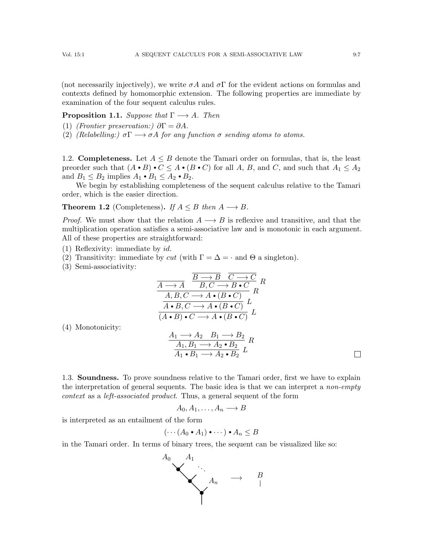(not necessarily injectively), we write  $\sigma A$  and  $\sigma \Gamma$  for the evident actions on formulas and contexts defined by homomorphic extension. The following properties are immediate by examination of the four sequent calculus rules.

<span id="page-6-1"></span>**Proposition 1.1.** Suppose that  $\Gamma \longrightarrow A$ . Then

- (1) (Frontier preservation:)  $\partial \Gamma = \partial A$ .
- (2) (Relabelling:)  $\sigma \Gamma \longrightarrow \sigma A$  for any function  $\sigma$  sending atoms to atoms.

1.2. **Completeness.** Let  $A \leq B$  denote the Tamari order on formulas, that is, the least preorder such that  $(A \cdot B) \cdot C \leq A \cdot (B \cdot C)$  for all A, B, and C, and such that  $A_1 \leq A_2$ and  $B_1 \leq B_2$  implies  $A_1 \bullet B_1 \leq A_2 \bullet B_2$ .

We begin by establishing completeness of the sequent calculus relative to the Tamari order, which is the easier direction.

<span id="page-6-0"></span>**Theorem 1.2** (Completeness). If  $A \leq B$  then  $A \rightarrow B$ .

*Proof.* We must show that the relation  $A \longrightarrow B$  is reflexive and transitive, and that the multiplication operation satisfies a semi-associative law and is monotonic in each argument. All of these properties are straightforward:

- (1) Reflexivity: immediate by id.
- (2) Transitivity: immediate by cut (with  $\Gamma = \Delta = \cdot$  and  $\Theta$  a singleton).
- (3) Semi-associativity:

$$
\frac{\overline{B \rightarrow B} \quad \overline{C \rightarrow C}}{A \rightarrow A} \quad \frac{\overline{B \rightarrow B} \quad \overline{C \rightarrow C}}{B \cdot C \rightarrow B \cdot C} \quad R
$$
\n
$$
\frac{A, B, C \rightarrow A \cdot (B \cdot C)}{A \cdot B, C \rightarrow A \cdot (B \cdot C)} \quad L
$$
\n
$$
\overline{(A \cdot B) \cdot C \rightarrow A \cdot (B \cdot C)} \quad L
$$

(4) Monotonicity:

$$
\frac{A_1 \longrightarrow A_2 \quad B_1 \longrightarrow B_2}{A_1, B_1 \longrightarrow A_2 \bullet B_2} R
$$
  

$$
\frac{A_1, B_1 \longrightarrow A_2 \bullet B_2}{A_1 \bullet B_1 \longrightarrow A_2 \bullet B_2} L
$$

1.3. Soundness. To prove soundness relative to the Tamari order, first we have to explain the interpretation of general sequents. The basic idea is that we can interpret a *non-empty* context as a left-associated product. Thus, a general sequent of the form

$$
A_0, A_1, \ldots, A_n \longrightarrow B
$$

is interpreted as an entailment of the form

$$
(\cdots (A_0 \bullet A_1) \bullet \cdots ) \bullet A_n \leq B
$$

in the Tamari order. In terms of binary trees, the sequent can be visualized like so:

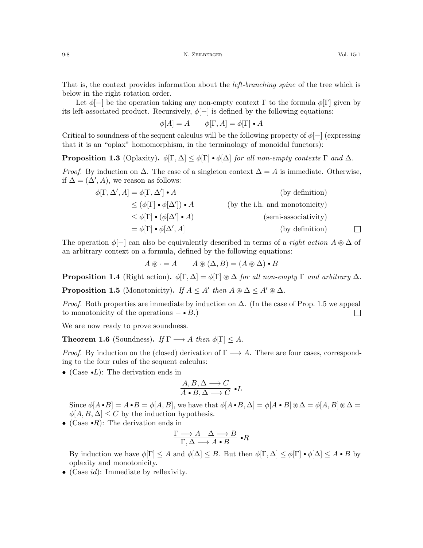That is, the context provides information about the *left-branching spine* of the tree which is below in the right rotation order.

Let  $\phi$ [−] be the operation taking any non-empty context  $\Gamma$  to the formula  $\phi[\Gamma]$  given by its left-associated product. Recursively,  $\phi$ [-] is defined by the following equations:

$$
\phi[A] = A \qquad \phi[\Gamma,A] = \phi[\Gamma] \bullet A
$$

Critical to soundness of the sequent calculus will be the following property of  $\phi$ [−] (expressing that it is an "oplax" homomorphism, in the terminology of monoidal functors):

**Proposition 1.3** (Oplaxity).  $\phi[\Gamma, \Delta] \leq \phi[\Gamma] \cdot \phi[\Delta]$  for all non-empty contexts  $\Gamma$  and  $\Delta$ .

*Proof.* By induction on  $\Delta$ . The case of a singleton context  $\Delta = A$  is immediate. Otherwise, if  $\Delta = (\Delta', A)$ , we reason as follows:

$$
\phi[\Gamma, \Delta', A] = \phi[\Gamma, \Delta'] \cdot A
$$
 (by definition)  
\n
$$
\leq (\phi[\Gamma] \cdot \phi[\Delta']) \cdot A
$$
 (by the i.h. and monotonicity)  
\n
$$
\leq \phi[\Gamma] \cdot (\phi[\Delta'] \cdot A)
$$
 (semi-associativity)  
\n
$$
= \phi[\Gamma] \cdot \phi[\Delta', A]
$$
 (by definition)

The operation  $\phi$ [-] can also be equivalently described in terms of a *right action*  $A \otimes \Delta$  of an arbitrary context on a formula, defined by the following equations:

 $A \circledast \cdot = A$   $A \circledast (\Delta, B) = (A \circledast \Delta) \cdot B$ 

**Proposition 1.4** (Right action).  $\phi[\Gamma, \Delta] = \phi[\Gamma] \otimes \Delta$  for all non-empty  $\Gamma$  and arbitrary  $\Delta$ .

<span id="page-7-0"></span>**Proposition 1.5** (Monotonicity). If  $A \leq A'$  then  $A \otimes \Delta \leq A' \otimes \Delta$ .

*Proof.* Both properties are immediate by induction on  $\Delta$ . (In the case of Prop. [1.5](#page-7-0) we appeal to monotonicity of the operations  $- \cdot B$ .)  $\Box$ 

We are now ready to prove soundness.

**Theorem 1.6** (Soundness). If  $\Gamma \longrightarrow A$  then  $\phi[\Gamma] \leq A$ .

*Proof.* By induction on the (closed) derivation of  $\Gamma \longrightarrow A$ . There are four cases, corresponding to the four rules of the sequent calculus:

• (Case  $\bullet L$ ): The derivation ends in

$$
\frac{A, B, \Delta \longrightarrow C}{A \bullet B, \Delta \longrightarrow C} \bullet L
$$

Since  $\phi[A \cdot B] = A \cdot B = \phi[A, B]$ , we have that  $\phi[A \cdot B, \Delta] = \phi[A \cdot B] \otimes \Delta = \phi[A, B] \otimes \Delta =$  $\phi[A, B, \Delta] \leq C$  by the induction hypothesis.

• (Case  $\cdot R$ ): The derivation ends in

$$
\frac{\Gamma \longrightarrow A \quad \Delta \longrightarrow B}{\Gamma, \Delta \longrightarrow A \bullet B} \bullet R
$$

By induction we have  $\phi[\Gamma] \leq A$  and  $\phi[\Delta] \leq B$ . But then  $\phi[\Gamma, \Delta] \leq \phi[\Gamma] \cdot \phi[\Delta] \leq A \cdot B$  by oplaxity and monotonicity.

• (Case  $id$ ): Immediate by reflexivity.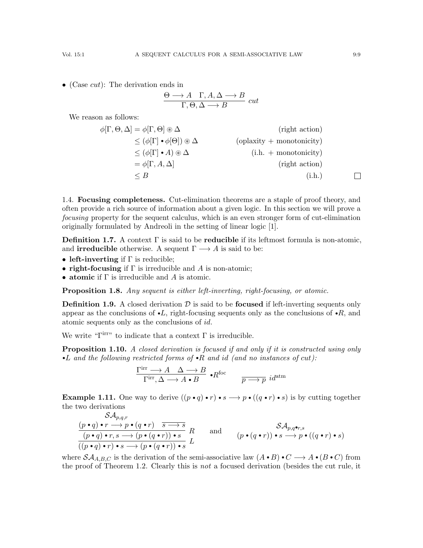• (Case  $cut$ ): The derivation ends in

$$
\frac{\Theta \longrightarrow A \quad \Gamma, A, \Delta \longrightarrow B}{\Gamma, \Theta, \Delta \longrightarrow B} cut
$$

We reason as follows:

$$
\phi[\Gamma, \Theta, \Delta] = \phi[\Gamma, \Theta] \circledast \Delta \qquad \text{(right action)}
$$
  
\n
$$
\leq (\phi[\Gamma] \cdot \phi[\Theta]) \circledast \Delta \qquad \text{(oplaxity + monotonicity)}
$$
  
\n
$$
\leq (\phi[\Gamma] \cdot A) \circledast \Delta \qquad \text{(i.h. + monotonicity)}
$$
  
\n
$$
= \phi[\Gamma, A, \Delta] \qquad \text{(right action)}
$$
  
\n
$$
\leq B \qquad \text{(i.h.)}
$$

1.4. Focusing completeness. Cut-elimination theorems are a staple of proof theory, and often provide a rich source of information about a given logic. In this section we will prove a focusing property for the sequent calculus, which is an even stronger form of cut-elimination originally formulated by Andreoli in the setting of linear logic [\[1\]](#page-19-6).

**Definition 1.7.** A context  $\Gamma$  is said to be **reducible** if its leftmost formula is non-atomic, and **irreducible** otherwise. A sequent  $\Gamma \longrightarrow A$  is said to be:

- left-inverting if  $\Gamma$  is reducible;
- right-focusing if  $\Gamma$  is irreducible and A is non-atomic;
- atomic if  $\Gamma$  is irreducible and A is atomic.

Proposition 1.8. Any sequent is either left-inverting, right-focusing, or atomic.

**Definition 1.9.** A closed derivation  $\mathcal{D}$  is said to be **focused** if left-inverting sequents only appear as the conclusions of  $\bullet L$ , right-focusing sequents only as the conclusions of  $\bullet R$ , and atomic sequents only as the conclusions of id.

We write " $\Gamma$ <sup>irr</sup>" to indicate that a context  $\Gamma$  is irreducible.

**Proposition 1.10.** A closed derivation is focused if and only if it is constructed using only •L and the following restricted forms of •R and id (and no instances of cut):

$$
\frac{\Gamma^{\mathrm{irr}}\longrightarrow A\quad \Delta\longrightarrow B}{\Gamma^{\mathrm{irr}},\Delta\longrightarrow A\bullet B}\bullet R^{\mathrm{foc}}\qquad \frac{}{p\longrightarrow p}\ id^{\mathrm{atm}}
$$

**Example 1.11.** One way to derive  $((p \cdot q) \cdot r) \cdot s \rightarrow p \cdot ((q \cdot r) \cdot s)$  is by cutting together the two derivations

$$
\frac{\mathcal{SA}_{p,q,r}}{(p \cdot q) \cdot r \to p \cdot (q \cdot r) \quad \overline{s \to s}} \quad R \qquad \text{and} \qquad \frac{\mathcal{SA}_{p,q} \bullet r, s}{(p \cdot q) \cdot r, s \to (p \cdot (q \cdot r)) \cdot s} \quad R \qquad \text{and} \qquad (p \cdot (q \cdot r)) \cdot s \to p \cdot ((q \cdot r) \cdot s)
$$

where  $\mathcal{SA}_{A,B,C}$  is the derivation of the semi-associative law  $(A \cdot B) \cdot C \longrightarrow A \cdot (B \cdot C)$  from the proof of Theorem [1.2.](#page-6-0) Clearly this is not a focused derivation (besides the cut rule, it

 $\Box$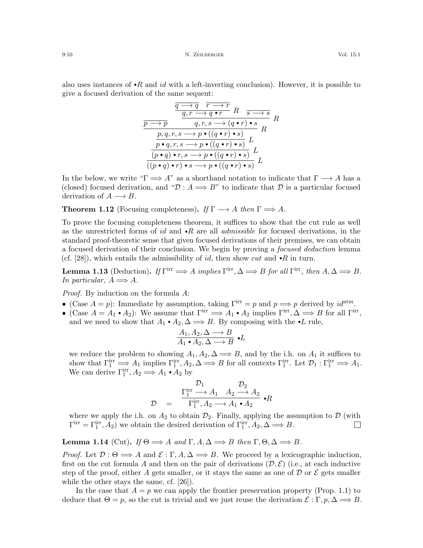$$
\frac{\frac{q \rightarrow q \quad r \rightarrow r}{q, r \rightarrow q \bullet r} R \quad s \rightarrow s}{q, r, s \rightarrow (q \bullet r) \bullet s} R
$$
\n
$$
\frac{p \rightarrow p \quad q, r, s \rightarrow (q \bullet r) \bullet s}{p \bullet q, r, s \rightarrow p \bullet ((q \bullet r) \bullet s)} R
$$
\n
$$
\frac{p \bullet q, r, s \rightarrow p \bullet ((q \bullet r) \bullet s)}{(p \bullet q) \bullet r, s \rightarrow p \bullet ((q \bullet r) \bullet s)} L
$$
\n
$$
\frac{p \bullet q, r, s \rightarrow p \bullet ((q \bullet r) \bullet s)}{((p \bullet q) \bullet r) \bullet s \rightarrow p \bullet ((q \bullet r) \bullet s)} L
$$

In the below, we write " $\Gamma \Longrightarrow A$ " as a shorthand notation to indicate that  $\Gamma \longrightarrow A$  has a (closed) focused derivation, and " $\mathcal{D}: A \Longrightarrow B$ " to indicate that  $\mathcal D$  is a particular focused derivation of  $A \longrightarrow B$ .

<span id="page-9-0"></span>**Theorem 1.12** (Focusing completeness). If  $\Gamma \longrightarrow A$  then  $\Gamma \Longrightarrow A$ .

To prove the focusing completeness theorem, it suffices to show that the cut rule as well as the unrestricted forms of id and  $\cdot R$  are all *admissible* for focused derivations, in the standard proof-theoretic sense that given focused derivations of their premises, we can obtain a focused derivation of their conclusion. We begin by proving a focused deduction lemma (cf. [\[28\]](#page-20-13)), which entails the admissibility of id, then show cut and  $\cdot R$  in turn.

<span id="page-9-1"></span>**Lemma 1.13** (Deduction). If  $\Gamma^{\text{irr}} \implies A$  implies  $\Gamma^{\text{irr}}, \Delta \implies B$  for all  $\Gamma^{\text{irr}},$  then  $A, \Delta \implies B$ . In particular,  $A \Longrightarrow A$ .

Proof. By induction on the formula A:

- (Case  $A = p$ ): Immediate by assumption, taking  $\Gamma^{\text{irr}} = p$  and  $p \Longrightarrow p$  derived by  $id^{\text{atm}}$ .
- (Case  $A = A_1 \cdot A_2$ ): We assume that  $\Gamma^{\text{irr}} \Longrightarrow A_1 \cdot A_2$  implies  $\Gamma^{\text{irr}}, \Delta \Longrightarrow B$  for all  $\Gamma^{\text{irr}},$ and we need to show that  $A_1 \cdot A_2, \Delta \Longrightarrow B$ . By composing with the  $\cdot L$  rule,

$$
\frac{A_1, A_2, \Delta \longrightarrow B}{A_1 \bullet A_2, \Delta \longrightarrow B} \bullet L
$$

we reduce the problem to showing  $A_1, A_2, \Delta \Longrightarrow B$ , and by the i.h. on  $A_1$  it suffices to show that  $\Gamma_1^{\text{irr}} \Longrightarrow A_1$  implies  $\Gamma_1^{\text{irr}}, A_2, \Delta \Longrightarrow B$  for all contexts  $\Gamma_1^{\text{irr}}$ . Let  $\mathcal{D}_1: \Gamma_1^{\text{irr}} \Longrightarrow A_1$ . We can derive  $\Gamma_1^{\text{irr}}, A_2 \Longrightarrow A_1 \bullet A_2$  by

$$
\mathcal{D} = \begin{array}{c} \mathcal{D}_1 & \mathcal{D}_2 \\ \frac{\Gamma_1^{\text{irr}} \longrightarrow A_1 & A_2 \longrightarrow A_2}{\Gamma_1^{\text{irr}}, A_2 \longrightarrow A_1 \bullet A_2} & \bullet R \end{array}
$$

where we apply the i.h. on  $A_2$  to obtain  $\mathcal{D}_2$ . Finally, applying the assumption to  $\mathcal{D}$  (with  $\Gamma^{\text{irr}} = \Gamma^{\text{irr}}_1, A_2$  we obtain the desired derivation of  $\Gamma^{\text{irr}}_1, A_2, \Delta \Longrightarrow B$ .  $\Box$ 

# **Lemma 1.14** (Cut). If  $\Theta \Longrightarrow A$  and  $\Gamma, A, \Delta \Longrightarrow B$  then  $\Gamma, \Theta, \Delta \Longrightarrow B$ .

*Proof.* Let  $\mathcal{D}: \Theta \Longrightarrow A$  and  $\mathcal{E}: \Gamma, A, \Delta \Longrightarrow B$ . We proceed by a lexicographic induction, first on the cut formula A and then on the pair of derivations  $(\mathcal{D}, \mathcal{E})$  (i.e., at each inductive step of the proof, either A gets smaller, or it stays the same as one of  $\mathcal D$  or  $\mathcal E$  gets smaller while the other stays the same, cf. [\[26\]](#page-20-14)).

In the case that  $A = p$  we can apply the frontier preservation property (Prop. [1.1\)](#page-6-1) to deduce that  $\Theta = p$ , so the cut is trivial and we just reuse the derivation  $\mathcal{E}: \Gamma, p, \Delta \Longrightarrow B$ .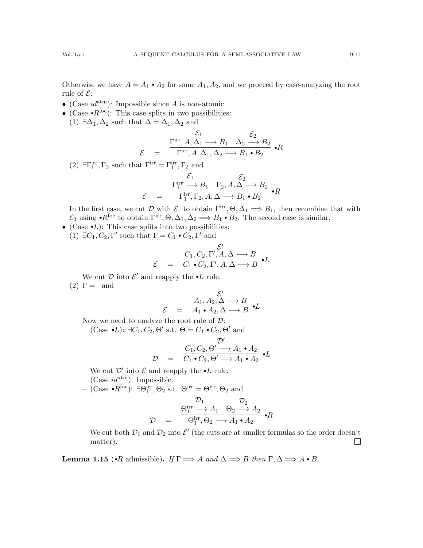Otherwise we have  $A = A_1 \cdot A_2$  for some  $A_1, A_2$ , and we proceed by case-analyzing the root rule of  $\mathcal{E}$ :

- (Case  $id^{atm}$ ): Impossible since A is non-atomic.
- (Case  $\cdot R^{foc}$ ): This case splits in two possibilities:
- (1)  $\exists \Delta_1, \Delta_2$  such that  $\Delta = \Delta_1, \Delta_2$  and

$$
\mathcal{E}_1 \xrightarrow{\mathcal{E}_1} \mathcal{E}_2
$$
\n
$$
\mathcal{E}_2 \xrightarrow{\text{rirr}, A, \Delta_1 \longrightarrow B_1} \Delta_2 \longrightarrow B_2 \longrightarrow R
$$
\n
$$
\mathcal{E}_3 \xrightarrow{\text{rirr}, A, \Delta_1, \Delta_2 \longrightarrow B_1 \bullet B_2} \bullet R
$$

(2)  $\exists \Gamma_1^{\text{irr}}, \Gamma_2$  such that  $\Gamma^{\text{irr}} = \Gamma_1^{\text{irr}}, \Gamma_2$  and

$$
\mathcal{E}_1 \xrightarrow{\Gamma_1^{\text{irr}} \longrightarrow B_1} \Gamma_2, A, \Delta \longrightarrow B_2 \longrightarrow R
$$
  

$$
\mathcal{E} = \frac{\Gamma_1^{\text{irr}} \longrightarrow B_1 \Gamma_2, A, \Delta \longrightarrow B_1 \bullet B_2}{} \bullet R
$$

In the first case, we cut  $\mathcal D$  with  $\mathcal E_1$  to obtain  $\Gamma^{\text{irr}}, \Theta, \Delta_1 \Longrightarrow B_1$ , then recombine that with  $\mathcal{E}_2$  using  $\cdot R^{\text{foc}}$  to obtain  $\Gamma^{\text{irr}}, \Theta, \Delta_1, \Delta_2 \Longrightarrow B_1 \bullet B_2$ . The second case is similar.

• (Case  $\bullet L$ ): This case splits into two possibilities:

(1)  $\exists C_1, C_2, \Gamma'$  such that  $\Gamma = C_1 \cdot C_2, \Gamma'$  and

$$
\mathcal{E} = \frac{C_1, C_2, \Gamma', A, \Delta \longrightarrow B}{C_1 \bullet C_2, \Gamma', A, \Delta \longrightarrow B} \bullet L
$$

We cut  $\mathcal D$  into  $\mathcal E'$  and reapply the  $\bullet L$  rule.

(2)  $\Gamma = \cdot$  and

$$
= \frac{A_1, A_2, \Delta \longrightarrow B}{A_1 \bullet A_2, \Delta \longrightarrow B} \bullet L
$$

Now we need to analyze the root rule of  $\mathcal{D}$ : – (Case •L): ∃C<sub>1</sub>, C<sub>2</sub>,  $\Theta'$  s.t.  $\Theta = C_1 \cdot C_2$ ,  $\Theta'$  and

 $\mathcal E$ 

$$
\mathcal{D} = \frac{C_1, C_2, \Theta' \longrightarrow A_1 \bullet A_2}{C_1 \bullet C_2, \Theta' \longrightarrow A_1 \bullet A_2} \bullet L
$$

We cut  $\mathcal{D}'$  into  $\mathcal E$  and reapply the  $\bullet L$  rule.

– (Case  $id^{\text{atm}}$ ): Impossible.

- (Case •R<sup>foc</sup>): ∃Θ<sub>1</sub><sup>irr</sup>, Θ<sub>2</sub> s.t. Θ<sup>irr</sup> = Θ<sub>1</sub><sup>irr</sup>, Θ<sub>2</sub> and

$$
\mathcal{D} = \begin{array}{c} \mathcal{D}_1 \\ \Theta_1^{\text{irr}} \longrightarrow A_1 \quad \Theta_2 \longrightarrow A_2 \\ \Theta_1^{\text{irr}}, \Theta_2 \longrightarrow A_1 \bullet A_2 \end{array} \bullet R
$$

We cut both  $\mathcal{D}_1$  and  $\mathcal{D}_2$  into  $\mathcal{E}'$  (the cuts are at smaller formulas so the order doesn't matter).  $\Box$ 

**Lemma 1.15** ( $\cdot$ R admissible). If  $\Gamma \Longrightarrow A$  and  $\Delta \Longrightarrow B$  then  $\Gamma, \Delta \Longrightarrow A \bullet B$ .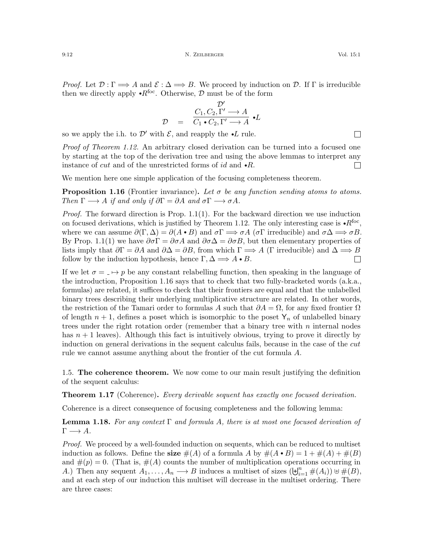9:12 N. ZEILBERGER Vol. 15:1

*Proof.* Let  $\mathcal{D}: \Gamma \longrightarrow A$  and  $\mathcal{E}: \Delta \longrightarrow B$ . We proceed by induction on  $\mathcal{D}$ . If  $\Gamma$  is irreducible then we directly apply  $\cdot R^{foc}$ . Otherwise, D must be of the form

$$
\mathcal{D} = \frac{C_1, C_2, \Gamma' \longrightarrow A}{C_1 \bullet C_2, \Gamma' \longrightarrow A} \bullet L
$$

so we apply the i.h. to  $\mathcal{D}'$  with  $\mathcal{E}$ , and reapply the  $\bullet L$  rule.

*Proof of Theorem [1.12.](#page-9-0)* An arbitrary closed derivation can be turned into a focused one by starting at the top of the derivation tree and using the above lemmas to interpret any instance of *cut* and of the unrestricted forms of *id* and  $\bullet R$ .  $\Box$ 

We mention here one simple application of the focusing completeness theorem.

<span id="page-11-0"></span>**Proposition 1.16** (Frontier invariance). Let  $\sigma$  be any function sending atoms to atoms. Then  $\Gamma \longrightarrow A$  if and only if  $\partial \Gamma = \partial A$  and  $\sigma \Gamma \longrightarrow \sigma A$ .

*Proof.* The forward direction is Prop.  $1.1(1)$ . For the backward direction we use induction on focused derivations, which is justified by Theorem [1.12.](#page-9-0) The only interesting case is  $\cdot R^{foc}$ , where we can assume  $\partial(\Gamma, \Delta) = \partial(A \cdot B)$  and  $\sigma \Gamma \Longrightarrow \sigma A$  ( $\sigma \Gamma$  irreducible) and  $\sigma \Delta \Longrightarrow \sigma B$ . By Prop. [1.1\(](#page-6-1)1) we have  $\partial \sigma \Gamma = \partial \sigma A$  and  $\partial \sigma \Delta = \partial \sigma B$ , but then elementary properties of lists imply that  $\partial \Gamma = \partial A$  and  $\partial \Delta = \partial B$ , from which  $\Gamma \implies A$  (Γ irreducible) and  $\Delta \implies B$ follow by the induction hypothesis, hence  $\Gamma, \Delta \Longrightarrow A \bullet B$ .  $\Box$ 

If we let  $\sigma = I \mapsto p$  be any constant relabelling function, then speaking in the language of the introduction, Proposition [1.16](#page-11-0) says that to check that two fully-bracketed words (a.k.a., formulas) are related, it suffices to check that their frontiers are equal and that the unlabelled binary trees describing their underlying multiplicative structure are related. In other words, the restriction of the Tamari order to formulas A such that  $\partial A = \Omega$ , for any fixed frontier  $\Omega$ of length  $n + 1$ , defines a poset which is isomorphic to the poset  $Y_n$  of unlabelled binary trees under the right rotation order (remember that a binary tree with  $n$  internal nodes has  $n + 1$  leaves). Although this fact is intuitively obvious, trying to prove it directly by induction on general derivations in the sequent calculus fails, because in the case of the cut rule we cannot assume anything about the frontier of the cut formula A.

1.5. The coherence theorem. We now come to our main result justifying the definition of the sequent calculus:

<span id="page-11-1"></span>**Theorem 1.17** (Coherence). Every derivable sequent has exactly one focused derivation.

Coherence is a direct consequence of focusing completeness and the following lemma:

<span id="page-11-2"></span>**Lemma 1.18.** For any context  $\Gamma$  and formula A, there is at most one focused derivation of  $\Gamma \longrightarrow A$ .

Proof. We proceed by a well-founded induction on sequents, which can be reduced to multiset induction as follows. Define the size  $\#(A)$  of a formula A by  $\#(A \cdot B) = 1 + \#(A) + \#(B)$ and  $\#(p) = 0$ . (That is,  $\#(A)$  counts the number of multiplication operations occurring in A.) Then any sequent  $A_1, \ldots, A_n \longrightarrow B$  induces a multiset of sizes  $(\biguplus_{i=1}^n \#(A_i)) \uplus \#(B)$ , and at each step of our induction this multiset will decrease in the multiset ordering. There are three cases:

 $\Box$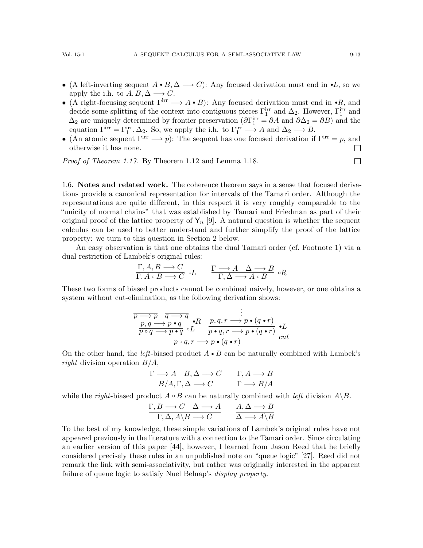- (A left-inverting sequent  $A \cdot B$ ,  $\Delta \longrightarrow C$ ): Any focused derivation must end in  $\cdot L$ , so we apply the i.h. to  $A, B, \Delta \longrightarrow C$ .
- (A right-focusing sequent  $\Gamma^{\text{irr}} \longrightarrow A \cdot B$ ): Any focused derivation must end in  $\cdot R$ , and decide some splitting of the context into contiguous pieces  $\Gamma_1^{\text{irr}}$  and  $\Delta_2$ . However,  $\Gamma_1^{\text{irr}}$  and  $\Delta_2$  are uniquely determined by frontier preservation ( $\partial \Gamma_1^{\text{irr}} = \partial A$  and  $\partial \Delta_2 = \partial B$ ) and the equation  $\Gamma^{\text{irr}} = \Gamma_1^{\text{irr}}, \Delta_2$ . So, we apply the i.h. to  $\Gamma_1^{\text{irr}} \longrightarrow A$  and  $\Delta_2 \longrightarrow B$ .
- (An atomic sequent  $\Gamma^{\text{irr}} \longrightarrow p$ ): The sequent has one focused derivation if  $\Gamma^{\text{irr}} = p$ , and otherwise it has none.  $\Box$

Proof of Theorem [1.17.](#page-11-1) By Theorem [1.12](#page-9-0) and Lemma [1.18.](#page-11-2)

<span id="page-12-0"></span>1.6. Notes and related work. The coherence theorem says in a sense that focused derivations provide a canonical representation for intervals of the Tamari order. Although the representations are quite different, in this respect it is very roughly comparable to the "unicity of normal chains" that was established by Tamari and Friedman as part of their original proof of the lattice property of  $Y_n$  [\[9\]](#page-19-10). A natural question is whether the sequent calculus can be used to better understand and further simplify the proof of the lattice property: we turn to this question in Section [2](#page-13-0) below.

An easy observation is that one obtains the dual Tamari order (cf. Footnote [1\)](#page-0-0) via a dual restriction of Lambek's original rules:

$$
\frac{\Gamma, A, B \longrightarrow C}{\Gamma, A \circ B \longrightarrow C} \circ L \qquad \frac{\Gamma \longrightarrow A \quad \Delta \longrightarrow B}{\Gamma, \Delta \longrightarrow A \circ B} \circ R
$$

These two forms of biased products cannot be combined naively, however, or one obtains a system without cut-elimination, as the following derivation shows:

$$
\frac{\overbrace{p \to p \quad q \to q}_{p,q} \to p \bullet q}_{p \circ q \to p \bullet q \circ L} \cdot R \quad p,q,r \to p \bullet (q \bullet r)}{p \circ q \to p \bullet q \circ L}_{p \circ q,r \to p \bullet (q \bullet r)} \bullet L
$$
\n
$$
p \circ q,r \to p \bullet (q \bullet r)
$$

On the other hand, the *left*-biased product  $A \cdot B$  can be naturally combined with Lambek's right division operation  $B/A$ ,

$$
\frac{\Gamma \longrightarrow A \quad B, \Delta \longrightarrow C}{B/A, \Gamma, \Delta \longrightarrow C} \qquad \frac{\Gamma, A \longrightarrow B}{\Gamma \longrightarrow B/A}
$$

while the *right*-biased product  $A \circ B$  can be naturally combined with *left* division  $A \backslash B$ .

$$
\frac{\Gamma, B \longrightarrow C \quad \Delta \longrightarrow A}{\Gamma, \Delta, A \backslash B \longrightarrow C} \qquad \frac{A, \Delta \longrightarrow B}{\Delta \longrightarrow A \backslash B}
$$

To the best of my knowledge, these simple variations of Lambek's original rules have not appeared previously in the literature with a connection to the Tamari order. Since circulating an earlier version of this paper [\[44\]](#page-21-1), however, I learned from Jason Reed that he briefly considered precisely these rules in an unpublished note on "queue logic" [\[27\]](#page-20-15). Reed did not remark the link with semi-associativity, but rather was originally interested in the apparent failure of queue logic to satisfy Nuel Belnap's *display property*.

 $\Box$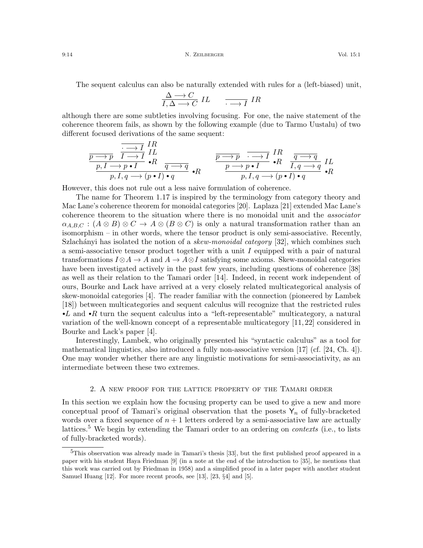#### 9:14 N. ZEILBERGER Vol. 15:1

The sequent calculus can also be naturally extended with rules for a (left-biased) unit,

$$
\frac{\Delta \longrightarrow C}{I, \Delta \longrightarrow C} IL \qquad \overline{\cdot \longrightarrow I} IR
$$

although there are some subtleties involving focusing. For one, the naive statement of the coherence theorem fails, as shown by the following example (due to Tarmo Uustalu) of two different focused derivations of the same sequent:

$$
\frac{\overbrace{\overbrace{\overline{p \rightarrow p} \quad I \rightarrow I}^{IR}}^{I \rightarrow I \quad IR} \quad I \quad R}_{p, I \rightarrow p \bullet I} \cdot R}_{p, I, q \rightarrow (p \bullet I) \bullet q} \quad \frac{\overbrace{\overline{p \rightarrow p} \quad \overline{\overline{p} \rightarrow I}}^{I \rightarrow P} \quad I \quad R}_{p, I, q \rightarrow (p \bullet I) \bullet q} \quad I \quad R}_{p, I, q \rightarrow (p \bullet I) \bullet q} \cdot R
$$

However, this does not rule out a less naive formulation of coherence.

The name for Theorem [1.17](#page-11-1) is inspired by the terminology from category theory and Mac Lane's coherence theorem for monoidal categories [\[20\]](#page-20-3). Laplaza [\[21\]](#page-20-16) extended Mac Lane's coherence theorem to the situation where there is no monoidal unit and the associator  $\alpha_{A,B,C} : (A \otimes B) \otimes C \rightarrow A \otimes (B \otimes C)$  is only a natural transformation rather than an isomorphism – in other words, where the tensor product is only semi-associative. Recently, Szlachányi has isolated the notion of a *skew-monoidal category* [\[32\]](#page-20-17), which combines such a semi-associative tensor product together with a unit I equipped with a pair of natural transformations  $I \otimes A \to A$  and  $A \to A \otimes I$  satisfying some axioms. Skew-monoidal categories have been investigated actively in the past few years, including questions of coherence [\[38\]](#page-20-18) as well as their relation to the Tamari order [\[14\]](#page-19-2). Indeed, in recent work independent of ours, Bourke and Lack have arrived at a very closely related multicategorical analysis of skew-monoidal categories [\[4\]](#page-19-11). The reader familiar with the connection (pioneered by Lambek [\[18\]](#page-20-19)) between multicategories and sequent calculus will recognize that the restricted rules  $\bullet L$  and  $\bullet R$  turn the sequent calculus into a "left-representable" multicategory, a natural variation of the well-known concept of a representable multicategory [\[11,](#page-19-12) [22\]](#page-20-20) considered in Bourke and Lack's paper [\[4\]](#page-19-11).

Interestingly, Lambek, who originally presented his "syntactic calculus" as a tool for mathematical linguistics, also introduced a fully non-associative version  $\left[17\right]$  (cf.  $\left[24, \text{Ch. } 4\right]$ ). One may wonder whether there are any linguistic motivations for semi-associativity, as an intermediate between these two extremes.

### 2. A new proof for the lattice property of the Tamari order

<span id="page-13-0"></span>In this section we explain how the focusing property can be used to give a new and more conceptual proof of Tamari's original observation that the posets  $Y_n$  of fully-bracketed words over a fixed sequence of  $n + 1$  letters ordered by a semi-associative law are actually lattices.<sup>[5](#page-13-1)</sup> We begin by extending the Tamari order to an ordering on *contexts* (i.e., to lists of fully-bracketed words).

<span id="page-13-1"></span> $5$ This observation was already made in Tamari's thesis [\[33\]](#page-20-0), but the first published proof appeared in a paper with his student Haya Friedman [\[9\]](#page-19-10) (in a note at the end of the introduction to [\[35\]](#page-20-22), he mentions that this work was carried out by Friedman in 1958) and a simplified proof in a later paper with another student Samuel Huang [\[12\]](#page-19-1). For more recent proofs, see [\[13\]](#page-19-0), [\[23,](#page-20-23) §4] and [\[5\]](#page-19-4).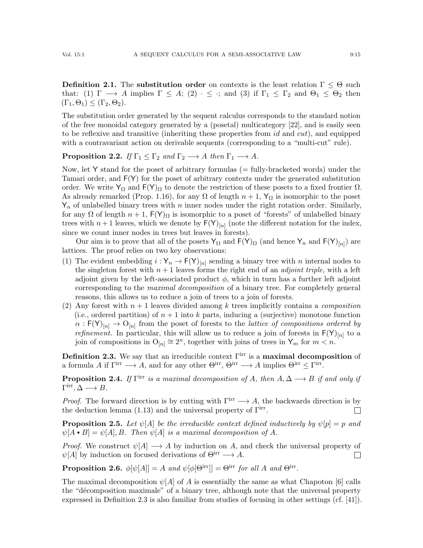**Definition 2.1.** The substitution order on contexts is the least relation  $\Gamma \leq \Theta$  such that: (1)  $\Gamma \longrightarrow A$  implies  $\Gamma \subseteq A$ ; (2)  $\cdot \subseteq \cdot$ ; and (3) if  $\Gamma_1 \subseteq \Gamma_2$  and  $\Theta_1 \subseteq \Theta_2$  then  $(\Gamma_1, \Theta_1) \leq (\Gamma_2, \Theta_2).$ 

The substitution order generated by the sequent calculus corresponds to the standard notion of the free monoidal category generated by a (posetal) multicategory [\[22\]](#page-20-20), and is easily seen to be reflexive and transitive (inheriting these properties from  $id$  and  $cut$ ), and equipped with a contravariant action on derivable sequents (corresponding to a "multi-cut" rule).

**Proposition 2.2.** If  $\Gamma_1 \leq \Gamma_2$  and  $\Gamma_2 \longrightarrow A$  then  $\Gamma_1 \longrightarrow A$ .

Now, let Y stand for the poset of arbitrary formulas  $($  = fully-bracketed words) under the Tamari order, and F(Y) for the poset of arbitrary contexts under the generated substitution order. We write  $Y_{\Omega}$  and  $F(Y)_{\Omega}$  to denote the restriction of these posets to a fixed frontier  $Ω$ . As already remarked (Prop. [1.16\)](#page-11-0), for any  $\Omega$  of length  $n+1$ ,  $Y_{\Omega}$  is isomorphic to the poset  $Y_n$  of unlabelled binary trees with n inner nodes under the right rotation order. Similarly, for any  $\Omega$  of length  $n+1$ ,  $F(Y)_{\Omega}$  is isomorphic to a poset of "forests" of unlabelled binary trees with  $n+1$  leaves, which we denote by  $F(Y)_{[n]}$  (note the different notation for the index, since we count inner nodes in trees but leaves in forests).

Our aim is to prove that all of the posets  $Y_{\Omega}$  and  $F(Y)_{\Omega}$  (and hence  $Y_n$  and  $F(Y)_{[n]}$ ) are lattices. The proof relies on two key observations:

- (1) The evident embedding  $i: Y_n \to F(Y)_{[n]}$  sending a binary tree with n internal nodes to the singleton forest with  $n + 1$  leaves forms the right end of an *adjoint triple*, with a left adjoint given by the left-associated product  $\phi$ , which in turn has a further left adjoint corresponding to the maximal decomposition of a binary tree. For completely general reasons, this allows us to reduce a join of trees to a join of forests.
- (2) Any forest with  $n+1$  leaves divided among k trees implicitly contains a *composition* (i.e., ordered partition) of  $n + 1$  into k parts, inducing a (surjective) monotone function  $\alpha$ :  $F(Y)_{[n]} \to O_{[n]}$  from the poset of forests to the *lattice of compositions ordered by refinement*. In particular, this will allow us to reduce a join of forests in  $F(Y)_{[n]}$  to a join of compositions in  $O_{[n]} \cong 2^n$ , together with joins of trees in  $Y_m$  for  $m < n$ .

<span id="page-14-0"></span>Definition 2.3. We say that an irreducible context  $\Gamma^{\text{irr}}$  is a maximal decomposition of a formula A if  $\Gamma^{\text{irr}} \longrightarrow A$ , and for any other  $\Theta^{\text{irr}}$ ,  $\Theta^{\text{irr}} \longrightarrow A$  implies  $\Theta^{\text{irr}} \leq \Gamma^{\text{irr}}$ .

<span id="page-14-1"></span>**Proposition 2.4.** If  $\Gamma$ <sup>irr</sup> is a maximal decomposition of A, then  $A, \Delta \longrightarrow B$  if and only if  $\Gamma^{\text{irr}}, \Delta \longrightarrow B.$ 

*Proof.* The forward direction is by cutting with  $\Gamma^{\text{irr}} \longrightarrow A$ , the backwards direction is by the deduction lemma  $(1.13)$  and the universal property of  $\Gamma^{\text{irr}}$ .  $\Box$ 

**Proposition 2.5.** Let  $\psi[A]$  be the irreducible context defined inductively by  $\psi[p] = p$  and  $\psi[A \bullet B] = \psi[A], B$ . Then  $\psi[A]$  is a maximal decomposition of A.

*Proof.* We construct  $\psi[A] \longrightarrow A$  by induction on A, and check the universal property of  $\psi[A]$  by induction on focused derivations of  $\Theta^{\text{irr}} \longrightarrow A$ .  $\Box$ 

<span id="page-14-2"></span>**Proposition 2.6.**  $\phi[\psi[A]] = A$  and  $\psi[\phi[\Theta^{\text{irr}}]] = \Theta^{\text{irr}}$  for all A and  $\Theta^{\text{irr}}$ .

The maximal decomposition  $\psi[A]$  of A is essentially the same as what Chapoton [\[6\]](#page-19-7) calls the "d´ecomposition maximale" of a binary tree, although note that the universal property expressed in Definition [2.3](#page-14-0) is also familiar from studies of focusing in other settings (cf. [\[41\]](#page-20-24)).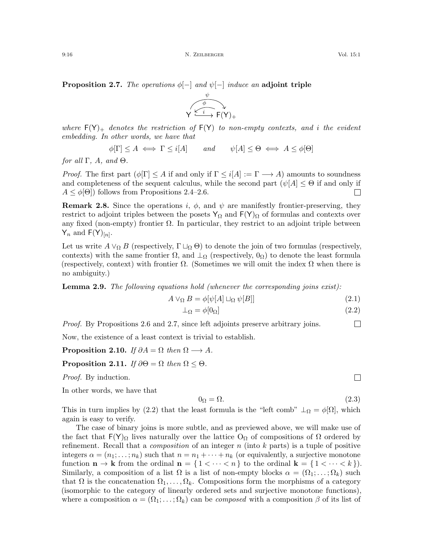<span id="page-15-0"></span>**Proposition 2.7.** The operations  $\phi$ [-] and  $\psi$ [-] induce an adjoint triple



ψ φ

$$
\phi[\Gamma] \le A \iff \Gamma \le i[A] \qquad and \qquad \psi[A] \le \Theta \iff A \le \phi[\Theta]
$$

for all  $\Gamma$ , A, and  $\Theta$ .

*Proof.* The first part  $(\phi[\Gamma] \leq A$  if and only if  $\Gamma \leq i[A] := \Gamma \longrightarrow A$ ) amounts to soundness and completeness of the sequent calculus, while the second part  $(\psi[A] \leq \Theta)$  if and only if  $A \leq \phi[\Theta]$  follows from Propositions [2.4–](#page-14-1)[2.6.](#page-14-2)  $\Box$ 

**Remark 2.8.** Since the operations i,  $\phi$ , and  $\psi$  are manifestly frontier-preserving, they restrict to adjoint triples between the posets  $Y_{\Omega}$  and  $F(Y)_{\Omega}$  of formulas and contexts over any fixed (non-empty) frontier  $\Omega$ . In particular, they restrict to an adjoint triple between  $Y_n$  and  $F(Y)_{[n]}$ .

Let us write  $A \vee_{\Omega} B$  (respectively,  $\Gamma \sqcup_{\Omega} \Theta$ ) to denote the join of two formulas (respectively, contexts) with the same frontier  $\Omega$ , and  $\perp_{\Omega}$  (respectively,  $0_{\Omega}$ ) to denote the least formula (respectively, context) with frontier  $\Omega$ . (Sometimes we will omit the index  $\Omega$  when there is no ambiguity.)

**Lemma 2.9.** The following equations hold (whenever the corresponding joins exist):

$$
A \vee_{\Omega} B = \phi[\psi[A] \sqcup_{\Omega} \psi[B]] \tag{2.1}
$$

$$
\perp_{\Omega} = \phi[0_{\Omega}] \tag{2.2}
$$

Proof. By Propositions [2.6](#page-14-2) and [2.7,](#page-15-0) since left adjoints preserve arbitrary joins.

Now, the existence of a least context is trivial to establish.

**Proposition 2.10.** If  $\partial A = \Omega$  then  $\Omega \longrightarrow A$ .

### **Proposition 2.11.** If  $\partial \Theta = \Omega$  then  $\Omega \leq \Theta$ .

Proof. By induction.

In other words, we have that

<span id="page-15-3"></span>
$$
0_{\Omega} = \Omega. \tag{2.3}
$$

This in turn implies by [\(2.2\)](#page-15-1) that the least formula is the "left comb"  $\perp_{\Omega} = \phi[\Omega]$ , which again is easy to verify.

The case of binary joins is more subtle, and as previewed above, we will make use of the fact that  $F(Y)_{\Omega}$  lives naturally over the lattice O<sub> $\Omega$ </sub> of compositions of  $\Omega$  ordered by refinement. Recall that a *composition* of an integer  $n$  (into  $k$  parts) is a tuple of positive integers  $\alpha = (n_1; \ldots; n_k)$  such that  $n = n_1 + \cdots + n_k$  (or equivalently, a surjective monotone function  $\mathbf{n} \to \mathbf{k}$  from the ordinal  $\mathbf{n} = \{1 \lt \cdots \lt n\}$  to the ordinal  $\mathbf{k} = \{1 \lt \cdots \lt k\}$ . Similarly, a composition of a list  $\Omega$  is a list of non-empty blocks  $\alpha = (\Omega_1; \dots; \Omega_k)$  such that  $\Omega$  is the concatenation  $\Omega_1, \ldots, \Omega_k$ . Compositions form the morphisms of a category (isomorphic to the category of linearly ordered sets and surjective monotone functions), where a composition  $\alpha = (\Omega_1; \ldots; \Omega_k)$  can be *composed* with a composition  $\beta$  of its list of

 $\Box$ 

<span id="page-15-2"></span><span id="page-15-1"></span> $\Box$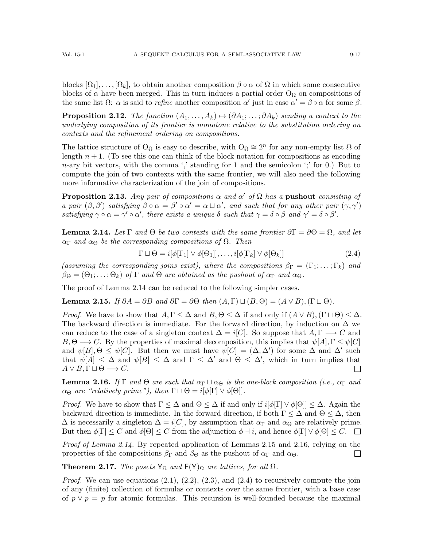blocks  $[\Omega_1], \ldots, [\Omega_k]$ , to obtain another composition  $\beta \circ \alpha$  of  $\Omega$  in which some consecutive blocks of  $\alpha$  have been merged. This in turn induces a partial order O<sub> $\Omega$ </sub> on compositions of the same list  $\Omega$ :  $\alpha$  is said to *refine* another composition  $\alpha'$  just in case  $\alpha' = \beta \circ \alpha$  for some  $\beta$ .

**Proposition 2.12.** The function  $(A_1, \ldots, A_k) \mapsto (\partial A_1; \ldots; \partial A_k)$  sending a context to the underlying composition of its frontier is monotone relative to the substitution ordering on contexts and the refinement ordering on compositions.

The lattice structure of  $O_{\Omega}$  is easy to describe, with  $O_{\Omega} \cong 2^n$  for any non-empty list  $\Omega$  of length  $n + 1$ . (To see this one can think of the block notation for compositions as encoding  $n$ -ary bit vectors, with the comma ',' standing for 1 and the semicolon ';' for 0.) But to compute the join of two contexts with the same frontier, we will also need the following more informative characterization of the join of compositions.

**Proposition 2.13.** Any pair of compositions  $\alpha$  and  $\alpha'$  of  $\Omega$  has a pushout consisting of a pair  $(\beta, \beta')$  satisfying  $\beta \circ \alpha = \beta' \circ \alpha' = \alpha \sqcup \alpha'$ , and such that for any other pair  $(\gamma, \gamma')$ satisfying  $\gamma \circ \alpha = \gamma' \circ \alpha'$ , there exists a unique  $\delta$  such that  $\gamma = \delta \circ \beta$  and  $\gamma' = \delta \circ \beta'$ .

<span id="page-16-0"></span>**Lemma 2.14.** Let  $\Gamma$  and  $\Theta$  be two contexts with the same frontier  $\partial \Gamma = \partial \Theta = \Omega$ , and let  $\alpha_{\Gamma}$  and  $\alpha_{\Theta}$  be the corresponding compositions of  $\Omega$ . Then

<span id="page-16-3"></span>
$$
\Gamma \sqcup \Theta = i[\phi[\Gamma_1] \lor \phi[\Theta_1]], \dots, i[\phi[\Gamma_k] \lor \phi[\Theta_k]] \tag{2.4}
$$

(assuming the corresponding joins exist), where the compositions  $\beta_{\Gamma} = (\Gamma_1; \dots; \Gamma_k)$  and  $\beta_{\Theta} = (\Theta_1; \ldots; \Theta_k)$  of  $\Gamma$  and  $\Theta$  are obtained as the pushout of  $\alpha_{\Gamma}$  and  $\alpha_{\Theta}$ .

The proof of Lemma [2.14](#page-16-0) can be reduced to the following simpler cases.

<span id="page-16-1"></span>**Lemma 2.15.** If  $\partial A = \partial B$  and  $\partial \Gamma = \partial \Theta$  then  $(A, \Gamma) \sqcup (B, \Theta) = (A \lor B), (\Gamma \sqcup \Theta)$ .

*Proof.* We have to show that  $A, \Gamma \leq \Delta$  and  $B, \Theta \leq \Delta$  if and only if  $(A \vee B), (\Gamma \sqcup \Theta) \leq \Delta$ . The backward direction is immediate. For the forward direction, by induction on  $\Delta$  we can reduce to the case of a singleton context  $\Delta = i[C]$ . So suppose that  $A, \Gamma \longrightarrow C$  and  $B, \Theta \longrightarrow C$ . By the properties of maximal decomposition, this implies that  $\psi[A], \Gamma \leq \psi[C]$ and  $\psi[B], \Theta \leq \psi[C]$ . But then we must have  $\psi[C] = (\Delta, \Delta')$  for some  $\Delta$  and  $\Delta'$  such that  $\psi[A] \leq \Delta$  and  $\psi[B] \leq \Delta$  and  $\Gamma \leq \Delta'$  and  $\Theta \leq \Delta'$ , which in turn implies that  $A \vee B, \Gamma \sqcup \Theta \longrightarrow C.$  $\Box$ 

<span id="page-16-2"></span>**Lemma 2.16.** If  $\Gamma$  and  $\Theta$  are such that  $\alpha_{\Gamma} \sqcup \alpha_{\Theta}$  is the one-block composition (i.e.,  $\alpha_{\Gamma}$  and  $\alpha_{\Theta}$  are "relatively prime"), then  $\Gamma \sqcup \Theta = i[\phi[\Gamma] \vee \phi[\Theta]].$ 

*Proof.* We have to show that  $\Gamma \leq \Delta$  and  $\Theta \leq \Delta$  if and only if  $i[\phi[\Gamma] \vee \phi[\Theta]] \leq \Delta$ . Again the backward direction is immediate. In the forward direction, if both  $\Gamma \leq \Delta$  and  $\Theta \leq \Delta$ , then  $\Delta$  is necessarily a singleton  $\Delta = i[C]$ , by assumption that  $\alpha_{\Gamma}$  and  $\alpha_{\Theta}$  are relatively prime. But then  $\phi[\Gamma] \leq C$  and  $\phi[\Theta] \leq C$  from the adjunction  $\phi \dashv i$ , and hence  $\phi[\Gamma] \vee \phi[\Theta] \leq C$ .

Proof of Lemma [2.14.](#page-16-0) By repeated application of Lemmas [2.15](#page-16-1) and [2.16,](#page-16-2) relying on the properties of the compositions  $\beta_{\Gamma}$  and  $\beta_{\Theta}$  as the pushout of  $\alpha_{\Gamma}$  and  $\alpha_{\Theta}$ .  $\Box$ 

**Theorem 2.17.** The posets  $Y_{\Omega}$  and  $F(Y)_{\Omega}$  are lattices, for all  $\Omega$ .

*Proof.* We can use equations  $(2.1), (2.2), (2.3),$  $(2.1), (2.2), (2.3),$  $(2.1), (2.2), (2.3),$  $(2.1), (2.2), (2.3),$  $(2.1), (2.2), (2.3),$  $(2.1), (2.2), (2.3),$  and  $(2.4)$  to recursively compute the join of any (finite) collection of formulas or contexts over the same frontier, with a base case of  $p \vee p = p$  for atomic formulas. This recursion is well-founded because the maximal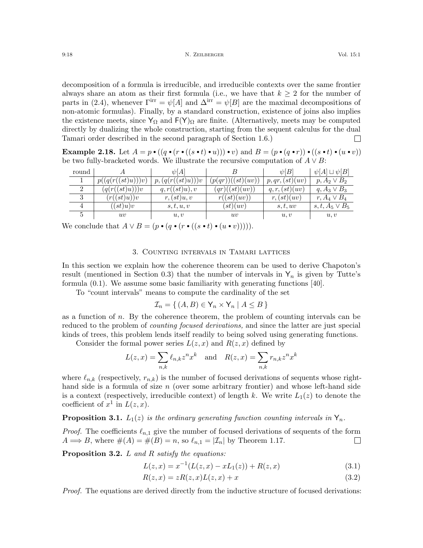9:18 **N. ZELBERGER** N. ZELBERGER Vol. 15:1

decomposition of a formula is irreducible, and irreducible contexts over the same frontier always share an atom as their first formula (i.e., we have that  $k \geq 2$  for the number of parts in [\(2.4\)](#page-16-3), whenever  $\Gamma^{\text{irr}} = \psi[A]$  and  $\Delta^{\text{irr}} = \psi[B]$  are the maximal decompositions of non-atomic formulas). Finally, by a standard construction, existence of joins also implies the existence meets, since  $Y_{\Omega}$  and  $F(Y)_{\Omega}$  are finite. (Alternatively, meets may be computed directly by dualizing the whole construction, starting from the sequent calculus for the dual Tamari order described in the second paragraph of Section [1.6.](#page-12-0))  $\Box$ 

**Example 2.18.** Let  $A = p \cdot ((q \cdot (r \cdot ((s \cdot t) \cdot u))) \cdot v)$  and  $B = (p \cdot (q \cdot r)) \cdot ((s \cdot t) \cdot (u \cdot v))$ be two fully-bracketed words. We illustrate the recursive computation of  $A \vee B$ :

| round       |                       | $\psi A $          |                             | $\psi[B]$           | $\psi[A] \sqcup \psi[B]$ |
|-------------|-----------------------|--------------------|-----------------------------|---------------------|--------------------------|
|             | (q(r((st)u)))v)<br>p( | p, (q(r((st)u)))v  | ((st)(uv))<br>p(qr)         | p,qr,(st)(uv)       | $p, A_2 \vee B_2$        |
|             | (q(r((st)u)))v        | ((st)u), v<br>a, r | ((st)(uv))<br>$qr$ )(       | (st)(uv)<br>q, r, ( | $q, A_3 \vee B_3$        |
| 3           | $(st)u$ )) $v$<br>r(  | r, (st)u, v        | (st)(uv)<br>$r_{\parallel}$ | r, (st)(uv)         | $r, A_4 \vee B_4$        |
|             | (st)u)v               | s, t, u, v         | (st)(uv)                    | s, t, uv            | $s, t, A_5 \vee B_5$     |
| $\mathbf b$ | uv                    | u, v               | uv                          | u, v                | u, v                     |

We conclude that  $A \vee B = (p \cdot (q \cdot (r \cdot ((s \cdot t) \cdot (u \cdot v))))$ .

### 3. Counting intervals in Tamari lattices

<span id="page-17-0"></span>In this section we explain how the coherence theorem can be used to derive Chapoton's result (mentioned in Section [0.3\)](#page-3-2) that the number of intervals in  $Y_n$  is given by Tutte's formula [\(0.1\)](#page-3-1). We assume some basic familiarity with generating functions [\[40\]](#page-20-25).

To "count intervals" means to compute the cardinality of the set

$$
\mathcal{I}_n = \{ (A, B) \in \mathsf{Y}_n \times \mathsf{Y}_n \mid A \leq B \}
$$

as a function of  $n$ . By the coherence theorem, the problem of counting intervals can be reduced to the problem of *counting focused derivations*, and since the latter are just special kinds of trees, this problem lends itself readily to being solved using generating functions.

Consider the formal power series  $L(z, x)$  and  $R(z, x)$  defined by

$$
L(z,x) = \sum_{n,k} \ell_{n,k} z^n x^k \quad \text{and} \quad R(z,x) = \sum_{n,k} r_{n,k} z^n x^k
$$

where  $\ell_{n,k}$  (respectively,  $r_{n,k}$ ) is the number of focused derivations of sequents whose righthand side is a formula of size  $n$  (over some arbitrary frontier) and whose left-hand side is a context (respectively, irreducible context) of length k. We write  $L_1(z)$  to denote the coefficient of  $x^1$  in  $L(z, x)$ .

**Proposition 3.1.**  $L_1(z)$  is the ordinary generating function counting intervals in  $Y_n$ .

*Proof.* The coefficients  $\ell_{n,1}$  give the number of focused derivations of sequents of the form  $A \Longrightarrow B$ , where  $\#(A) = \#(B) = n$ , so  $\ell_{n,1} = |\mathcal{I}_n|$  by Theorem [1.17.](#page-11-1)  $\Box$ 

**Proposition 3.2.**  $L$  and  $R$  satisfy the equations:

<span id="page-17-2"></span><span id="page-17-1"></span>
$$
L(z,x) = x^{-1}(L(z,x) - xL_1(z)) + R(z,x)
$$
\n(3.1)

$$
R(z,x) = zR(z,x)L(z,x) + x \tag{3.2}
$$

Proof. The equations are derived directly from the inductive structure of focused derivations: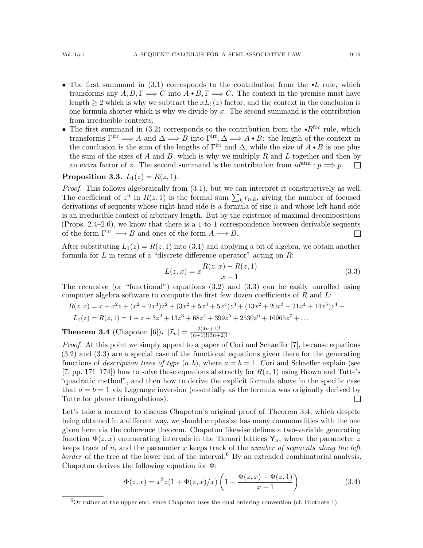- The first summand in  $(3.1)$  corresponds to the contribution from the  $\bullet L$  rule, which transforms any  $A, B, \Gamma \Longrightarrow C$  into  $A \bullet B, \Gamma \Longrightarrow C$ . The context in the premise must have length  $\geq 2$  which is why we subtract the  $xL_1(z)$  factor, and the context in the conclusion is one formula shorter which is why we divide by  $x$ . The second summand is the contribution from irreducible contexts.
- The first summand in [\(3.2\)](#page-17-2) corresponds to the contribution from the  $\cdot R^{foc}$  rule, which transforms  $\Gamma^{\rm irr} \Longrightarrow A$  and  $\Delta \Longrightarrow B$  into  $\Gamma^{\rm irr}, \Delta \Longrightarrow A \bullet B$ : the length of the context in the conclusion is the sum of the lengths of  $\Gamma^{\text{irr}}$  and  $\Delta$ , while the size of  $A \cdot B$  is one plus the sum of the sizes of  $A$  and  $B$ , which is why we multiply  $R$  and  $L$  together and then by an extra factor of z. The second summand is the contribution from  $id^{atm}: p \Longrightarrow p$ .  $\Box$

## **Proposition 3.3.**  $L_1(z) = R(z, 1)$ .

Proof. This follows algebraically from  $(3.1)$ , but we can interpret it constructively as well. The coefficient of  $z^n$  in  $R(z, 1)$  is the formal sum  $\sum_k r_{n,k}$ , giving the number of focused derivations of sequents whose right-hand side is a formula of size  $n$  and whose left-hand side is an irreducible context of arbitrary length. But by the existence of maximal decompositions (Props. [2.4](#page-14-1)[–2.6\)](#page-14-2), we know that there is a 1-to-1 correspondence between derivable sequents of the form  $\Gamma^{\text{irr}} \longrightarrow B$  and ones of the form  $A \longrightarrow B$ .  $\Box$ 

After substituting  $L_1(z) = R(z, 1)$  into [\(3.1\)](#page-17-1) and applying a bit of algebra, we obtain another formula for  $L$  in terms of a "discrete difference operator" acting on  $R$ :

<span id="page-18-0"></span>
$$
L(z,x) = x \frac{R(z,x) - R(z,1)}{x-1}
$$
\n(3.3)

The recursive (or "functional") equations  $(3.2)$  and  $(3.3)$  can be easily unrolled using computer algebra software to compute the first few dozen coefficients of  $R$  and  $L$ :

$$
R(z,x) = x + x^2z + (x^2 + 2x^3)z^2 + (3x^2 + 5x^3 + 5x^4)z^3 + (13x^2 + 20x^3 + 21x^4 + 14x^5)z^4 + \dots
$$
  
\n
$$
L_1(z) = R(z,1) = 1 + z + 3z^2 + 13z^3 + 68z^4 + 399z^5 + 2530z^6 + 16965z^7 + \dots
$$

<span id="page-18-1"></span>**Theorem 3.4** (Chapoton [\[6\]](#page-19-7)).  $|\mathcal{I}_n| = \frac{2(4n+1)!}{(n+1)!(3n+2)!}$ .

Proof. At this point we simply appeal to a paper of Cori and Schaeffer [\[7\]](#page-19-13), because equations [\(3.2\)](#page-17-2) and [\(3.3\)](#page-18-0) are a special case of the functional equations given there for the generating functions of *description trees of type*  $(a, b)$ , where  $a = b = 1$ . Cori and Schaeffer explain (see  $(7, pp. 171-174)$  how to solve these equations abstractly for  $R(z, 1)$  using Brown and Tutte's "quadratic method", and then how to derive the explicit formula above in the specific case that  $a = b = 1$  via Lagrange inversion (essentially as the formula was originally derived by Tutte for planar triangulations).  $\Box$ 

Let's take a moment to discuss Chapoton's original proof of Theorem [3.4,](#page-18-1) which despite being obtained in a different way, we should emphasize has many commonalities with the one given here via the coherence theorem. Chapoton likewise defines a two-variable generating function  $\Phi(z, x)$  enumerating intervals in the Tamari lattices  $Y_n$ , where the parameter z keeps track of n, and the parameter x keeps track of the number of segments along the left border of the tree at the lower end of the interval.<sup>[6](#page-18-2)</sup> By an extended combinatorial analysis, Chapoton derives the following equation for Φ:

<span id="page-18-3"></span>
$$
\Phi(z,x) = x^2 z (1 + \Phi(z,x)/x) \left( 1 + \frac{\Phi(z,x) - \Phi(z,1)}{x-1} \right)
$$
\n(3.4)

<span id="page-18-2"></span> ${}^{6}$ Or rather at the upper end, since Chapoton uses the dual ordering convention (cf. Footnote [1\)](#page-0-0).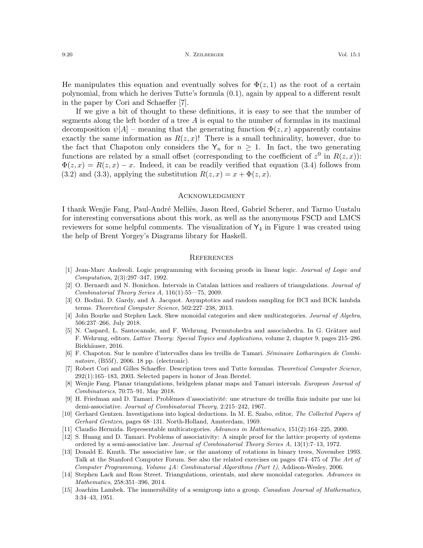He manipulates this equation and eventually solves for  $\Phi(z,1)$  as the root of a certain polynomial, from which he derives Tutte's formula [\(0.1\)](#page-3-1), again by appeal to a different result in the paper by Cori and Schaeffer [\[7\]](#page-19-13).

If we give a bit of thought to these definitions, it is easy to see that the number of segments along the left border of a tree  $A$  is equal to the number of formulas in its maximal decomposition  $\psi[A]$  – meaning that the generating function  $\Phi(z, x)$  apparently contains exactly the same information as  $R(z, x)!$  There is a small technicality, however, due to the fact that Chapoton only considers the  $Y_n$  for  $n \geq 1$ . In fact, the two generating functions are related by a small offset (corresponding to the coefficient of  $z^0$  in  $R(z, x)$ ):  $\Phi(z, x) = R(z, x) - x$ . Indeed, it can be readily verified that equation [\(3.4\)](#page-18-3) follows from [\(3.2\)](#page-17-2) and [\(3.3\)](#page-18-0), applying the substitution  $R(z, x) = x + \Phi(z, x)$ .

#### **ACKNOWLEDGMENT**

I thank Wenjie Fang, Paul-André Melliès, Jason Reed, Gabriel Scherer, and Tarmo Uustalu for interesting conversations about this work, as well as the anonymous FSCD and LMCS reviewers for some helpful comments. The visualization of  $Y_4$  in Figure [1](#page-1-0) was created using the help of Brent Yorgey's Diagrams library for Haskell.

### **REFERENCES**

- <span id="page-19-6"></span>[1] Jean-Marc Andreoli. Logic programming with focusing proofs in linear logic. Journal of Logic and Computation, 2(3):297–347, 1992.
- <span id="page-19-3"></span>[2] O. Bernardi and N. Bonichon. Intervals in Catalan lattices and realizers of triangulations. Journal of Combinatorial Theory Series A, 116(1):55––75, 2009.
- <span id="page-19-9"></span>[3] O. Bodini, D. Gardy, and A. Jacquot. Asymptotics and random sampling for BCI and BCK lambda terms. Theoretical Computer Science, 502:227–238, 2013.
- <span id="page-19-11"></span>[4] John Bourke and Stephen Lack. Skew monoidal categories and skew multicategories. Journal of Algebra, 506:237–266, July 2018.
- <span id="page-19-4"></span>[5] N. Caspard, L. Santocanale, and F. Wehrung. Permutohedra and associahedra. In G. Grätzer and F. Wehrung, editors, Lattice Theory: Special Topics and Applications, volume 2, chapter 9, pages 215–286. Birkhäuser, 2016.
- <span id="page-19-7"></span>[6] F. Chapoton. Sur le nombre d'intervalles dans les treillis de Tamari. Séminaire Lotharingien de Combinatoire, (B55f), 2006. 18 pp. (electronic).
- <span id="page-19-13"></span>[7] Robert Cori and Gilles Schaeffer. Description trees and Tutte formulas. Theoretical Computer Science, 292(1):165–183, 2003. Selected papers in honor of Jean Berstel.
- <span id="page-19-8"></span>[8] Wenjie Fang. Planar triangulations, bridgeless planar maps and Tamari intervals. European Journal of Combinatorics, 70:75–91, May 2018.
- <span id="page-19-10"></span>[9] H. Friedman and D. Tamari. Problèmes d'associativité: une structure de treillis finis induite par une loi demi-associative. Journal of Combinatorial Theory, 2:215–242, 1967.
- <span id="page-19-5"></span>[10] Gerhard Gentzen. Investigations into logical deductions. In M. E. Szabo, editor, The Collected Papers of Gerhard Gentzen, pages 68–131. North-Holland, Amsterdam, 1969.
- <span id="page-19-12"></span>[11] Claudio Hermida. Representable multicategories. Advances in Mathematics, 151(2):164–225, 2000.
- <span id="page-19-1"></span>[12] S. Huang and D. Tamari. Problems of associativity: A simple proof for the lattice property of systems ordered by a semi-associative law. Journal of Combinatorial Theory Series A, 13(1):7–13, 1972.
- <span id="page-19-0"></span>[13] Donald E. Knuth. The associative law, or the anatomy of rotations in binary trees, November 1993. Talk at the Stanford Computer Forum. See also the related exercises on pages 474–475 of The Art of Computer Programming, Volume 4A: Combinatorial Algorithms (Part 1), Addison-Wesley, 2006.
- <span id="page-19-2"></span>[14] Stephen Lack and Ross Street. Triangulations, orientals, and skew monoidal categories. Advances in Mathematics, 258:351–396, 2014.
- <span id="page-19-14"></span>[15] Joachim Lambek. The immersibility of a semigroup into a group. Canadian Journal of Mathematics, 3:34–43, 1951.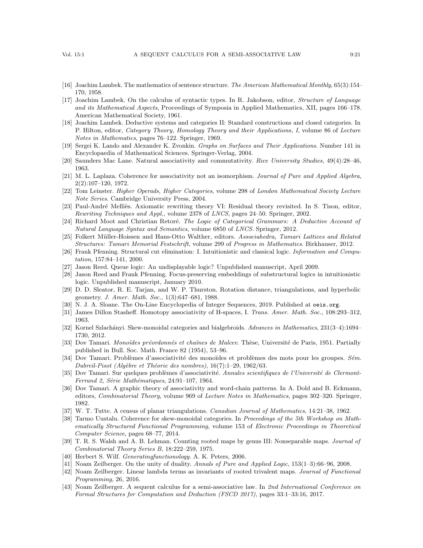- <span id="page-20-6"></span>[16] Joachim Lambek. The mathematics of sentence structure. The American Mathematical Monthly, 65(3):154– 170, 1958.
- <span id="page-20-7"></span>[17] Joachim Lambek. On the calculus of syntactic types. In R. Jakobson, editor, Structure of Language and its Mathematical Aspects, Proceedings of Symposia in Applied Mathematics, XII, pages 166–178. American Mathematical Society, 1961.
- <span id="page-20-19"></span>[18] Joachim Lambek. Deductive systems and categories II: Standard constructions and closed categories. In P. Hilton, editor, Category Theory, Homology Theory and their Applications, I, volume 86 of Lecture Notes in Mathematics, pages 76–122. Springer, 1969.
- <span id="page-20-12"></span>[19] Sergei K. Lando and Alexander K. Zvonkin. Graphs on Surfaces and Their Applications. Number 141 in Encyclopaedia of Mathematical Sciences. Springer-Verlag, 2004.
- <span id="page-20-3"></span>[20] Saunders Mac Lane. Natural associativity and commutativity. Rice University Studies, 49(4):28–46, 1963.
- <span id="page-20-16"></span>[21] M. L. Laplaza. Coherence for associativity not an isomorphism. Journal of Pure and Applied Algebra, 2(2):107–120, 1972.
- <span id="page-20-20"></span>[22] Tom Leinster. Higher Operads, Higher Categories, volume 298 of London Mathematical Society Lecture Note Series. Cambridge University Press, 2004.
- <span id="page-20-23"></span>[23] Paul-André Melliès. Axiomatic rewriting theory VI: Residual theory revisited. In S. Tison, editor, Rewriting Techniques and Appl., volume 2378 of LNCS, pages 24–50. Springer, 2002.
- <span id="page-20-21"></span>[24] Richard Moot and Christian Retoré. The Logic of Categorical Grammars: A Deductive Account of Natural Language Syntax and Semantics, volume 6850 of LNCS. Springer, 2012.
- <span id="page-20-4"></span>[25] Folkert Müller-Hoissen and Hans-Otto Walther, editors. Associahedra, Tamari Lattices and Related Structures: Tamari Memorial Festschrift, volume 299 of Progress in Mathematics. Birkhauser, 2012.
- <span id="page-20-14"></span>[26] Frank Pfenning. Structural cut elimination: I. Intuitionistic and classical logic. Information and Computation, 157:84–141, 2000.
- <span id="page-20-15"></span>[27] Jason Reed. Queue logic: An undisplayable logic? Unpublished manuscript, April 2009.
- <span id="page-20-13"></span>[28] Jason Reed and Frank Pfenning. Focus-preserving embeddings of substructural logics in intuitionistic logic. Unpublished manuscript, January 2010.
- <span id="page-20-2"></span>[29] D. D. Sleator, R. E. Tarjan, and W. P. Thurston. Rotation distance, triangulations, and hyperbolic geometry. J. Amer. Math. Soc., 1(3):647–681, 1988.
- <span id="page-20-8"></span>[30] N. J. A. Sloane. The On-Line Encyclopedia of Integer Sequences, 2019. Published at <oeis.org>.
- <span id="page-20-5"></span>[31] James Dillon Stasheff. Homotopy associativity of H-spaces, I. Trans. Amer. Math. Soc., 108:293-312, 1963.
- <span id="page-20-17"></span>[32] Kornel Szlachányi. Skew-monoidal categories and bialgebroids. Advances in Mathematics, 231(3-4):1694– 1730, 2012.
- <span id="page-20-0"></span>[33] Dov Tamari. Monoïdes préordonnés et chaînes de Malcev. Thèse, Université de Paris, 1951. Partially published in Bull. Soc. Math. France 82 (1954), 53–96.
- <span id="page-20-26"></span>[34] Dov Tamari. Problèmes d'associativité des monoïdes et problèmes des mots pour les groupes. Sém. Dubreil-Pisot (Algèbre et Théorie des nombres),  $16(7):1-29$ ,  $1962/63$ .
- <span id="page-20-22"></span>[35] Dov Tamari. Sur quelques problèmes d'associativité. Annales scientifiques de l'Université de Clermont-Ferrand 2, Série Mathématiques, 24:91-107, 1964.
- <span id="page-20-27"></span>[36] Dov Tamari. A graphic theory of associativity and word-chain patterns. In A. Dold and B. Eckmann, editors, Combinatorial Theory, volume 969 of Lecture Notes in Mathematics, pages 302–320. Springer, 1982.
- <span id="page-20-9"></span>[37] W. T. Tutte. A census of planar triangulations. Canadian Journal of Mathematics, 14:21–38, 1962.
- <span id="page-20-18"></span>[38] Tarmo Uustalu. Coherence for skew-monoidal categories. In Proceedings of the 5th Workshop on Mathematically Structured Functional Programming, volume 153 of Electronic Proceedings in Theoretical Computer Science, pages 68–77, 2014.
- <span id="page-20-10"></span>[39] T. R. S. Walsh and A. B. Lehman. Counting rooted maps by genus III: Nonseparable maps. *Journal of* Combinatorial Theory Series B, 18:222–259, 1975.
- <span id="page-20-25"></span>[40] Herbert S. Wilf. *Generatingfunctionology*. A. K. Peters, 2006.
- <span id="page-20-24"></span>[41] Noam Zeilberger. On the unity of duality. Annals of Pure and Applied Logic, 153(1–3):66–96, 2008.
- <span id="page-20-11"></span>[42] Noam Zeilberger. Linear lambda terms as invariants of rooted trivalent maps. Journal of Functional Programming, 26, 2016.
- <span id="page-20-1"></span>[43] Noam Zeilberger. A sequent calculus for a semi-associative law. In 2nd International Conference on Formal Structures for Computation and Deduction (FSCD 2017), pages 33:1–33:16, 2017.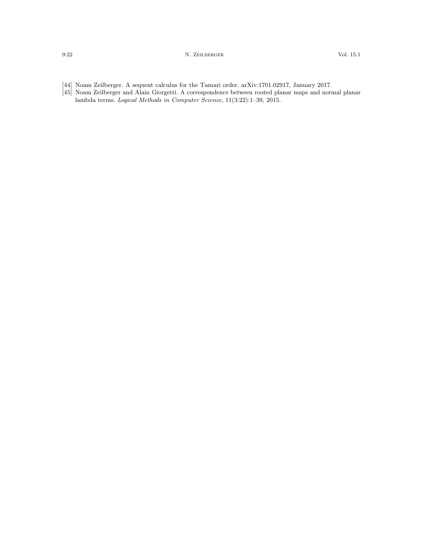- <span id="page-21-1"></span>[44] Noam Zeilberger. A sequent calculus for the Tamari order. arXiv:1701.02917, January 2017.
- <span id="page-21-0"></span>[45] Noam Zeilberger and Alain Giorgetti. A correspondence between rooted planar maps and normal planar lambda terms. Logical Methods in Computer Science, 11(3:22):1–39, 2015.